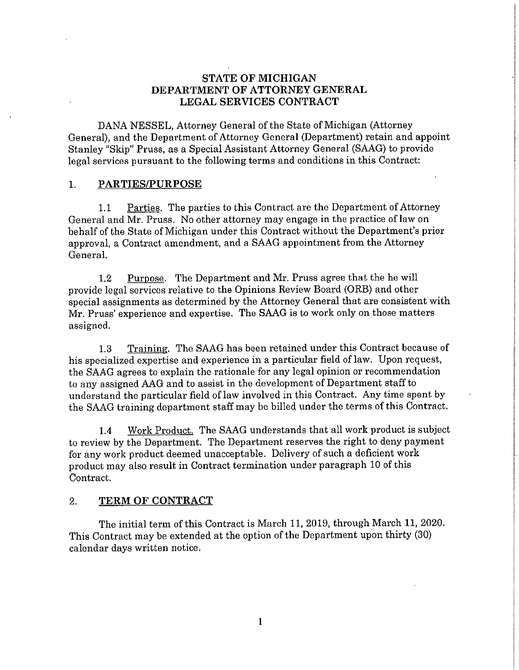# **STATE OF MICHIGAN DEPARTMENT OF ATTORNEY GENERAL LEGAL SERVICES CONTRACT**

DANA NESSEL, Attorney General of the State of Michigan (Attorney General), and the Department of Attorney General (Department) retain and appoint Stanley "Skip" Pruss, as a Special Assistant Attorney General (SAAG) to provide legal services pursuant to the following terms and conditions in this Contract:

#### **1. PARTIES/PURPOSE**

1.1 Parties. The parties to this Contract are the Department of Attorney General and Mr. Pruss. No other attorney may engage in the practice of law on behalf of the State of Michigan under this Contract without the Department's prior approval, a Contract amendment, and a SAAG appointment from the Attorney General.

1.2 Purpose. The Department and Mr. Pruss agree that the he will provide legal services relative to the Opinions Review Board (ORB) and other special assignments as determined by the Attorney General that are consistent with Mr. Pruss' experience and expertise. The SAAG is to work only on those matters assigned.

1.3 Training. The SAAG has been retained under this Contract because of his specialized expertise and experience in a particular field of law. Upon request, the SAAG agrees to explain the rationale for any legal opinion or recommendation to any assigned AAG and to assist in the development of Department staff to understand the particular field of law involved in this Contract. Any time spent by the SAAG training department staff may be billed under the terms of this Contract.

1.4 Work Product. The SAAG understands that all work product is subject to review by the Department. The Department reserves the right to deny payment for any work product deemed unacceptable. Delivery of such a deficient work product may also result in Contract termination under paragraph 10 of this Contract.

# 2. **TERM OF CONTRACT**

The initial term of this Contract is March 11, 2019, through March 11, 2020. This Contract may be extended at the option of the Department upon thirty (30) calendar days written notice.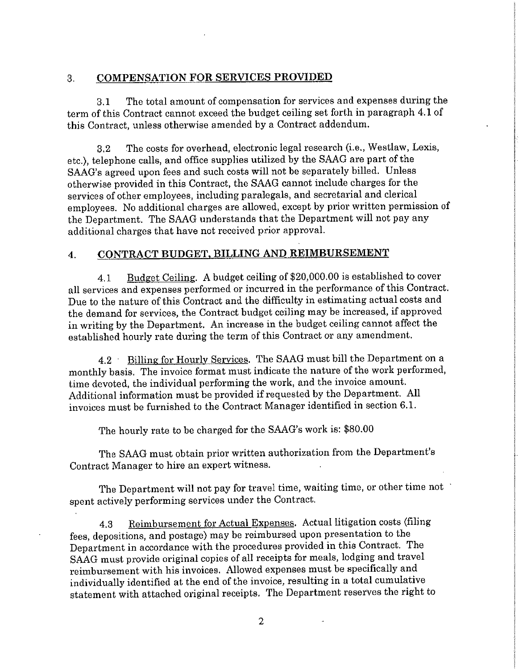### 3. COMPENSATION FOR SERVICES PROVIDED

3.1 The total amount of compensation for services and expenses during the term of this Contract cannot exceed the budget ceiling set forth in paragraph 4.1 of this Contract, unless otherwise amended by a Contract addendum.

3.2 The costs for overhead, electronic legal research (i.e., Westlaw, Lexis, etc.), telephone calls, and office supplies utilized by the SAAG are part of the SAAG's agreed upon fees and such costs will not be separately billed. Unless otherwise provided in this Contract, the SAAG cannot include charges for the services of other employees, including paralegals, and secretarial and clerical employees. No additional charges are allowed, except by prior written permission of the Department. The SAAG understands that the Department will not pay any additional charges that have not received prior approval.

# 4. **CONTRACT BUDGET, BILLING AND REIMBURSEMENT**

4.1 Budget Ceiling. A budget ceiling of \$20,000.00 is established to cover all services and expenses performed or incurred in the performance of this Contract. Due to the nature of this Contract and the difficulty in estimating actual costs and the demand for services, the Contract budget ceiling may be increased, if approved in writing by the Department. An increase in the budget ceiling cannot affect the established hourly rate during the term of this Contract or any amendment.

4.2 Billing for Hourly Services. The SAAG must bill the Department on a monthly basis. The invoice format must indicate the nature of the work performed, time devoted, the individual performing the work, and the invoice amount. Additional information must be provided if requested by the Department. All invoices must be furnished to the Contract Manager identified **in** section 6.1.

The hourly rate to be charged for the SAAG's work is: \$80.00

The SAAG must obtain prior written authorization from the Department's Contract Manager to hire an expert witness.

The Department will not pay for travel time, waiting time, or other time not spent actively performing services under the Contract.

4.3 Reimbursement for Actual Expenses. Actual litigation costs (filing fees, depositions, and postage) may be reimbursed upon presentation to the Department in accordance with the procedures provided in this Contract. The SAAG must provide original copies of all receipts for meals, lodging and travel reimbursement with his invoices. Allowed expenses must be specifically and individually identified at the end of the invoice, resulting in a total cumulative statement with attached original receipts. The Department reserves the right to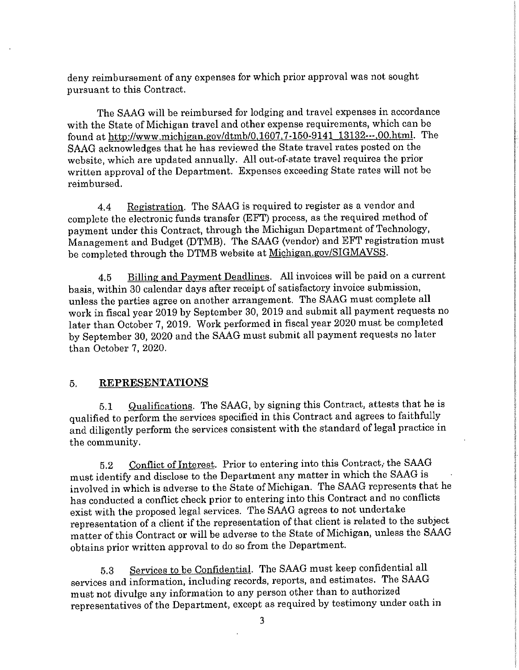deny reimbursement of any expenses for which prior approval was not sought pursuant to this Contract.

The SAAG will be reimbursed for lodging and travel expenses in accordance with the State of Michigan travel and other expense requirements, which can be found at http://www.michigan.gov/dtmb/0,1607.7-150-9141 13132---.00.html. The SAAG acknowledges that he has reviewed the State travel rates posted on the website, which are updated annually. All out-of-state travel requires the prior written approval of the Department. Expenses exceeding State rates will not be reimbursed.

4.4 Registration. The SAAG is required to register as a vendor and complete the electronic funds transfer (EFT) process, as the required method of payment under this Contract, through the Michigan Department of Technology, Management and Budget (DTMB). The SAAG (vendor) and EFT registration must be completed through the DTMB website at Michigan.gov/SIGMAVSS.

4.5 Billing and Payment Deadlines. All invoices will be paid on a current basis, within 30 calendar days after receipt of satisfactory invoice submission, unless the parties agree on another arrangement. The SAAG must complete all work in fiscal year 2019 by September 30, 2019 and submit all payment requests no later than October 7, 2019. Work performed in fiscal year 2020 must be completed by September 30, 2020 and the SAAG must submit all payment requests no later than October 7, 2020.

### 5. **REPRESENTATIONS**

5.1 Qualifications. The SAAG, by signing this Contract, attests that he is qualified to perform the services specified in this Contract and agrees to faithfully and diligently perform the services consistent with the standard of legal practice in the community.

5.2 Conflict of Interest. Prior to entering into this Contract, the SAAG must identify and disclose to the Department any matter in which the SAAG is involved in which is adverse to the State of Michigan. The SAAG represents that he has conducted a conflict check prior to entering into this Contract and no conflicts exist with the proposed legal services. The SAAG agrees to not undertake representation of a client if the representation of that client is related to the subject matter of this Contract or will be adverse to the State of Michigan, unless the SAAG obtains prior written approval to do so from the Department.

5.3 Services to be Confidential. The SAAG must keep confidential all services and information, including records, reports, and estimates. The SAAG must not divulge any information to any person other than to authorized representatives of the Department, except as required by testimony under oath in

3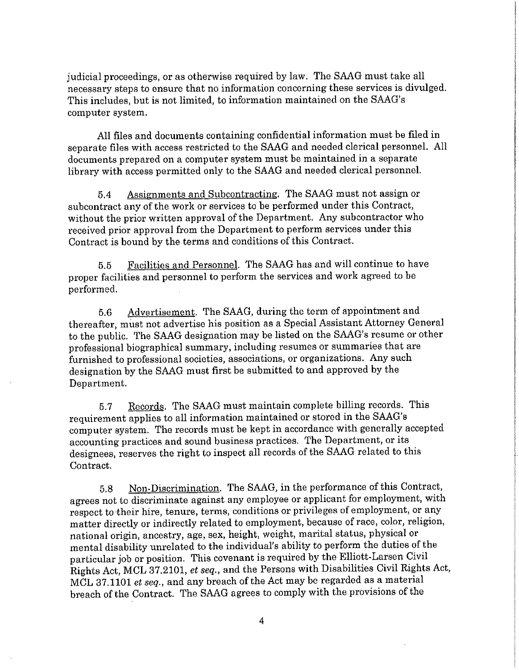judicial proceedings, or as otherwise required by law. The SAAG must take all necessary steps to ensure that no information concerning these services is divulged. This includes, but is not limited, to information maintained on the SAAG's computer system.

All files and documents containing confidential information must be filed in separate files with access restricted to the SAAG and needed clerical personnel. All documents prepared on a computer system must be maintained in a separate library with access permitted only to the SAAG and needed clerical personnel.

5.4 Assignments and Subcontracting. The SAAG must not assign or subcontract any of the work or services to be performed under this Contract, without the prior written approval of the Department. Any subcontractor who received prior approval from the Department to perform services under this Contract is bound by the terms and conditions of this Contract.

5.5 Facilities and Personnel. The SAAG has and will continue to have proper facilities and personnel to perform the services and work agreed to be performed.

5.6 Advertisement. The SAAG, during the term of appointment and thereafter, must not advertise his position as a Special Assistant Attorney General to the public. The SAAG designation may be listed on the SAAG's resume or other professional biographical summary, including resumes or summaries that are furnished to professional societies, associations, or organizations. Any such designation by the SAAG must first be submitted to and approved by the Department.

5.7 Records. The SAAG must maintain complete billing records. This requirement applies to all information maintained or stored in the SAAG's computer system. The records must be kept in accordance with generally accepted accounting practices and sound business practices. The Department, or its designees, reserves the right to inspect all records of the SAAG related to this Contract.

5.8 Non-Discrimination. The SAAG, in the performance of this Contract, agrees not to discriminate against any employee or applicant for employment, with respect to their hire, tenure, terms, conditions or privileges of employment, or any matter directly or indirectly related to employment, because of race, color, religion, national origin, ancestry, age, sex, height, weight, marital status, physical or mental disability unrelated to the individual's ability to perform the duties of the particular job or position. This covenant is required by the Elliott-Larsen Civil Rights Act, MCL 37.2101, *et seq.,* and the Persons with Disabilities Civil Rights Act, MCL 37.1101 *et seq.,* and any breach of the Act may be regarded as a material breach of the Contract. The SAAG agrees to comply with the provisions of the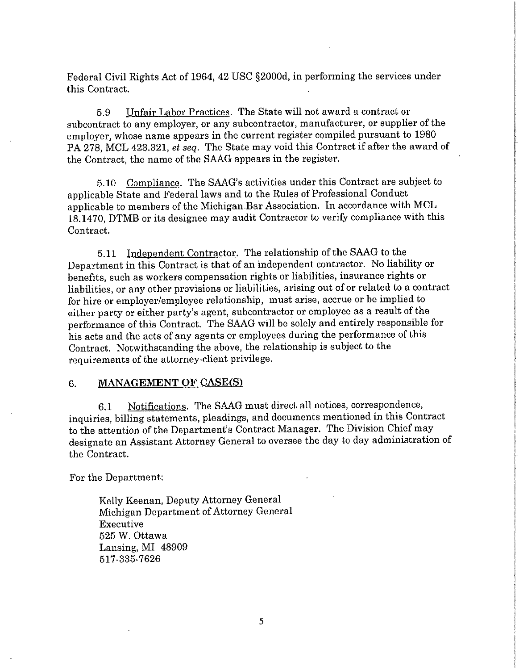Federal Civil Rights Act of 1964, 42 USC §2000d, in performing the services under this Contract.

5.9 Unfair Labor Practices. The State will not award a contract or subcontract to any employer, or any subcontractor, manufacturer, or supplier of the employer, whose name appears in the current register compiled pursuant to 1980 PA 278, MCL 423.321, *et seq.* The State may void this Contract if after the award of the Contract, the name of the SAAG appears in the register.

5.10 Compliance. The SAAG's activities under this Contract are subject to applicable State and Federal laws and to the Rules of Professional Conduct applicable to members of the Michigan.Bar Association. In accordance with MCL 18.1470, DTMB or its designee may audit Contractor to verify compliance with this Contract.

5.11 Independent Contractor. The relationship of the SAAG to the Department in this Contract is that of an independent contractor. No liability or benefits, such as workers compensation rights or liabilities, insurance rights or liabilities, or any other provisions or liabilities, arising out of or related to a contract for hire or employer/employee relationship, must arise, accrue or be implied to either party or either party's agent, subcontractor or employee as a result of the performance of this Contract. The SAAG **will** be solely and entirely responsible for his acts and the acts of any agents or employees during the performance of this Contract. Notwithstanding the above, the relationship is subject to the requirements of the attorney-client privilege.

### 6. **MANAGEMENT OF CASE(S)**

6.1 Notifications. The SAAG must direct all notices, correspondence, inquiries, billing statements, pleadings, and documents mentioned in this Contract to the attention of the Department's Contract Manager. The Division Chief may designate an Assistant Attorney General to oversee the day to day administration of the Contract.

For the Department:

Kelly Keenan, Deputy Attorney General Michigan Department of Attorney General Executive 525 W. Ottawa Lansing, MI 48909 517-335-7626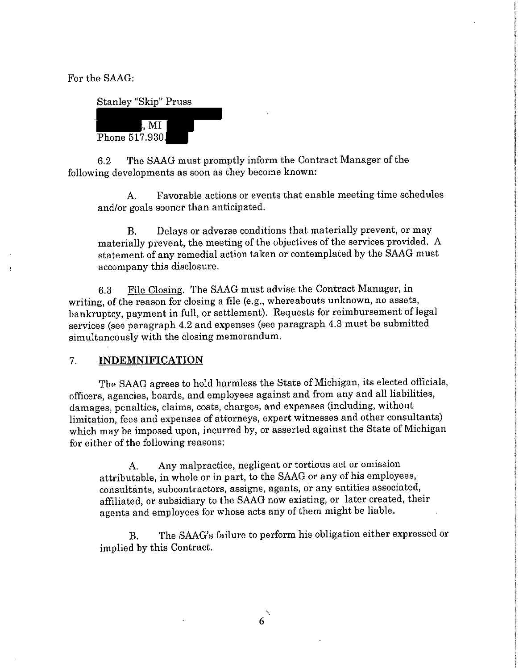For the SAAG:

Stanley "Skip" Pruss ,  $\overline{\text{MI}}$ Phone 517.930.

6.2 The SAAG must promptly inform the Contract Manager of the following developments as soon as they become known:

A. Favorable actions or events that enable meeting time schedules and/or goals sooner than anticipated.

B. Delays or adverse conditions that materially prevent, or may materially prevent, the meeting of the objectives of the services provided. A statement of any remedial action taken or contemplated by the SAAG must accompany this disclosure.

6.3 File Closing. The SAAG must advise the Contract Manager, **in**  writing, of the reason for closing a file (e.g., whereabouts unknown, no assets, bankruptcy, payment in full, or settlement). Requests for reimbursement of legal services (see paragraph 4.2 and expenses (see paragraph 4.3 must be submitted simultaneously with the closing memorandum.

### 7. **INDEMNIFICATION**

The SAAG agrees to hold harmless the State of Michigan, its elected officials, officers, agencies, boards, and employees against and from any and all liabilities, damages, penalties, claims, costs, charges, and expenses (including, without limitation, fees and expenses of attorneys, expert witnesses and other consultants) which may be imposed upon, incurred by, or asserted against the State of Michigan for either of the following reasons:

A. Any malpractice, negligent or tortious act or omission attributable, in whole or in part, to the SAAG or any of his employees, consultants, subcontractors, assigns, agents, or any entities associated, affiliated, or subsidiary to the SAAG now existing, or later created, their agents and employees for whose acts any of them might be liable.

B. The SAAG's failure to perform his obligation either expressed or implied by this Contract.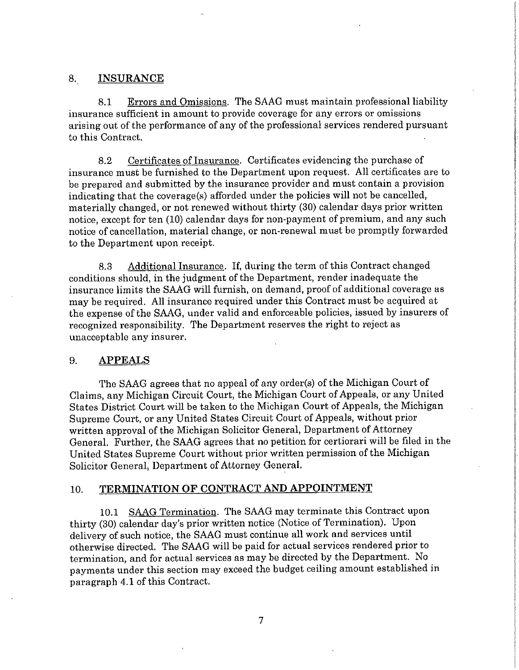#### 8. **INSURANCE**

8.1 Eirors and Omissions. The SAAG must maintain professional liability insurance sufficient in amount to provide coverage for any errors or omissions arising out of the performance of any of the professional services rendered pursuant to this Contract.

8.2 Certificates of Insurance. Certificates evidencing the purchase of insurance must be furnished to the Department upon request. All certificates are to be prepared and submitted by the insurance provider and must contain a provision indicating that the coverage(s) afforded under the policies will not be cancelled, materially changed, or not renewed without thirty (30) calendar days prior written notice, except for ten (10) calendar days for non-payment of premium, and any such notice of cancellation, material change, or non-renewal must be promptly forwarded to the Department upon receipt.

8.3 Additional Insurance. If, during the term of this Contract changed conditions should, in the judgment of the Department, render inadequate the insurance limits the SAAG will furnish, on demand, proof of additional coverage as may be required. All insurance required under this Contract must be acquired at the expense of the SAAG, under valid and enforceable policies, issued by insurers of recognized responsibility. The Department reserves the right to reject as unacceptable any insurer.

#### 9. **APPEALS**

The SAAG agrees that no appeal of any order(s) of the Michigan Court of Claims, any Michigan Circuit Court, the Michigan Court of Appeals, or any United States District Court will be taken to the Michigan Court of Appeals, the Michigan Supreme Court, or any United States Circuit Court of Appeals, without prior written approval of the Michigan Solicitor General, Department of Attorney General. Further, the SAAG agrees that no petition for certiorari will be filed in the United States Supreme Court without prior written permission of the Michigan Solicitor General, Department of Attorney General.

# 10. **TERMINATION OF CONTRACT AND APPOINTMENT**

10.1 SAAG Termination. The SAAG may terminate this Contract upon thirty (30) calendar day's prior written notice (Notice of Termination). Upon delivery of such notice, the SAAG must continue all work and services until otherwise directed. The SAAG will be paid for actual services rendered prior to termination, and for actual services as may be directed by the Department. No payments under this section may exceed the budget ceiling amount established in paragraph 4.1 of this Contract.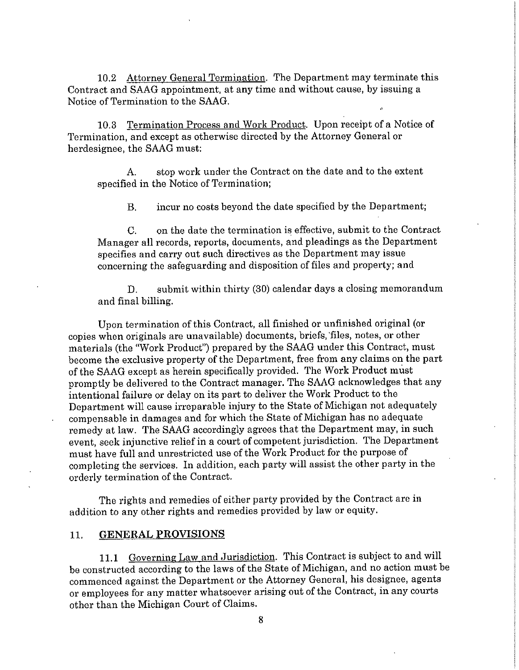10.2 Attorney General Termination. The Department may terminate this Contract and SAAG appointment, at any time and without cause, by issuing a Notice of Termination to the SAAG.

10.3 Termination Process and Work Product. Upon receipt of a Notice of Termination, and except as otherwise directed by the Attorney General or herdesignee, the SAAG must:

A. stop work under the Contract on the date and to the extent specified in the Notice of Termination;

B. incur no costs beyond the date specified by the Department;

C. on the date the termination is effective, submit to the Contract Manager all records, reports, documents, and pleadings as the Department specifies and carry out such directives as the Department may issue concerning the safeguarding and disposition of files and property; and

D. submit within thirty (30) calendar days a closing memorandum and final billing.

Upon termination of this Contract, all finished or unfinished original (or copies when originals are unavailable) documents, briefs, 'files, notes, or other materials (the "Work Product") prepared by the SAAG under this Contract, must become the exclusive property of the Department, free from any claims on the part of the SAAG except as herein specifically provided. The Work Product must promptly be delivered to the Contract manager. The SAAG acknowledges that any intentional failure or delay on its part to deliver the Work Product to the Department will cause irreparable injury to the State of Michigan not adequately compensable **in** damages and for which the State of Michigan has no adequate remedy at law. The SAAG accordingly agrees that the Department may, **in** such event, seek injunctive relief in a court of competent jurisdiction. The Department must have full and unrestricted use of the Work Product for the purpose of completing the services. In addition, each party will assist the other party in the orderly termination of the Contract.

The rights and remedies of either party provided by the Contract are in addition to any other rights and remedies provided by law or equity.

#### 11. **GENERAL PROVISIONS**

**11.1** Governing Law and Jurisdiction. This Contract is subject to and will be constructed according to the laws of the State of Michigan, and no action must be commenced against the Department or the Attorney General, his designee, agents or employees for any matter whatsoever arising out of the Contract, in any courts other than the Michigan Court of Claims.